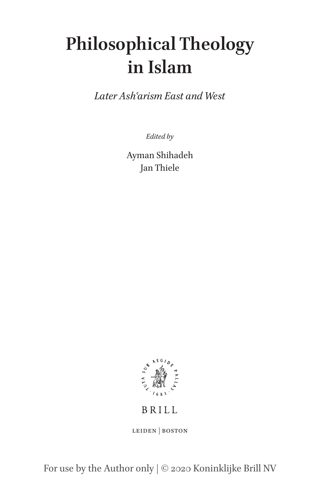# **Philosophical Theology in Islam**

*Later Ashʿarism East and West*

*Edited by*

Ayman Shihadeh Jan Thiele



# **BRILL**

LEIDEN | BOSTON

For use by the Author only | © 2020 Koninklijke Brill NV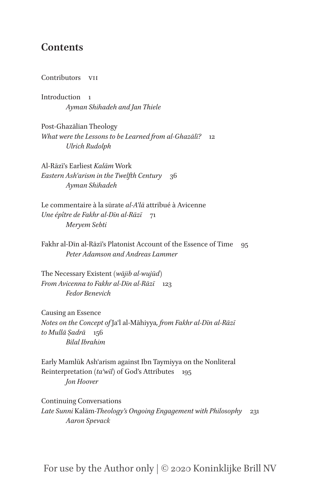## **Contents**

Contributors vii

Introduction 1 *Ayman Shihadeh and Jan Thiele*

Post-Ghazālian Theology *What were the Lessons to be Learned from al-Ghazālī?* 12 *Ulrich Rudolph*

Al-Rāzī's Earliest *Kalām* Work *Eastern Ashʿarism in the Twelfth Century* 36 *Ayman Shihadeh*

Le commentaire à la sūrate *al-Aʿlā* attribué à Avicenne *Une épître de Fakhr al-Dīn al-Rāzī* 71 *Meryem Sebti*

Fakhr al-Dīn al-Rāzī's Platonist Account of the Essence of Time 95 *Peter Adamson and Andreas Lammer*

The Necessary Existent *(wājib al-wujūd) From Avicenna to Fakhr al-Dīn al-Rāzī* 123 *Fedor Benevich*

Causing an Essence *Notes on the Concept of* Jaʿl al-Māhiyya*, from Fakhr al-Dīn al-Rāzī to Mullā Ṣadrā* 156 *Bilal Ibrahim*

Early Mamlūk Ashʿarism against Ibn Taymiyya on the Nonliteral Reinterpretation *(ta'wīl)* of God's Attributes 195 *Jon Hoover*

Continuing Conversations *Late Sunni* Kalām*-Theology's Ongoing Engagement with Philosophy* 231 *Aaron Spevack*

For use by the Author only | © 2020 Koninklijke Brill NV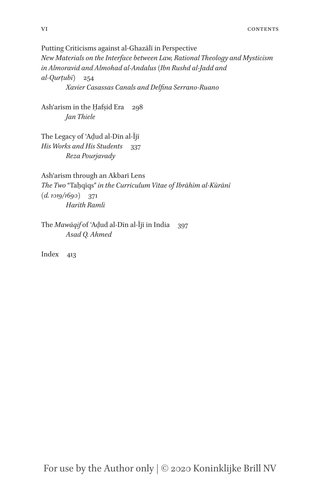Putting Criticisms against al-Ghazālī in Perspective *New Materials on the Interface between Law, Rational Theology and Mysticism in Almoravid and Almohad al-Andalus (Ibn Rushd al-Jadd and al-Qurṭubī)* 254 *Xavier Casassas Canals and Delfina Serrano-Ruano*

Ash'arism in the Hafsid Era 298 *Jan Thiele*

The Legacy of ʿAḍud al-Dīn al-Ījī *His Works and His Students* 337 *Reza Pourjavady*

Ashʿarism through an Akbarī Lens *The Two* "Taḥqīqs" *in the Curriculum Vitae of Ibrāhīm al-Kūrānī (d. 1019/1690)* 371 *Harith Ramli*

The *Mawāqif* of ʿAḍud al-Dīn al-Ījī in India 397 *Asad Q. Ahmed*

Index 413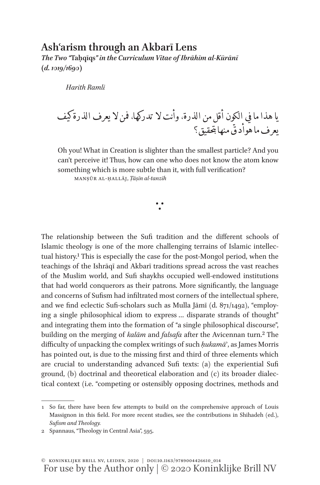## **Ashʿarism through an Akbarī Lens** *The Two "***Taḥqīqs***" in the Curriculum Vitae of Ibrāhīm al-Kūrānī (d. 1019/1690)*

*Harith Ramli*

ي� ف ي �ك�� ف ر� ف ا �ل�� �� ي�عر ف لا � �م�� ف � �ه�ا، � ك �د ر�� ي ي لا � �� ن � أ ، و ي ف ر� ف ا �ل�� �ل �م�� ي � � ف أ ل�كو� ي� ا � ف � ا �م�ا � ف �ا �ه�� ي � ي ؟ ي� � ق �ح�� ي �� ف � �ه�ا ن �م�� ّ ي د � أ ف �م�ا �هو �� ي�عر �

Oh you! What in Creation is slighter than the smallest particle? And you can't perceive it! Thus, how can one who does not know the atom know something which is more subtle than it, with full verification?

∵

Manṣūr al-Ḥallāj, *Ṭāṣīn al-tanzīh*

The relationship between the Sufi tradition and the different schools of Islamic theology is one of the more challenging terrains of Islamic intellectual history.1 This is especially the case for the post-Mongol period, when the teachings of the Ishrāqī and Akbarī traditions spread across the vast reaches of the Muslim world, and Sufi shaykhs occupied well-endowed institutions that had world conquerors as their patrons. More significantly, the language and concerns of Sufism had infiltrated most corners of the intellectual sphere, and we find eclectic Sufi-scholars such as Mulla Jāmī (d. 871/1492), "employing a single philosophical idiom to express … disparate strands of thought" and integrating them into the formation of "a single philosophical discourse", building on the merging of *kalām* and *falsafa* after the Avicennan turn.2 The difficulty of unpacking the complex writings of such *ḥukamā*ʾ, as James Morris has pointed out, is due to the missing first and third of three elements which are crucial to understanding advanced Sufi texts: (a) the experiential Sufi ground, (b) doctrinal and theoretical elaboration and (c) its broader dialectical context (i.e. "competing or ostensibly opposing doctrines, methods and

<sup>1</sup> So far, there have been few attempts to build on the comprehensive approach of Louis Massignon in this field. For more recent studies, see the contributions in Shihadeh (ed.), *Sufism and Theology.*

<sup>2</sup> Spannaus, "Theology in Central Asia", 595.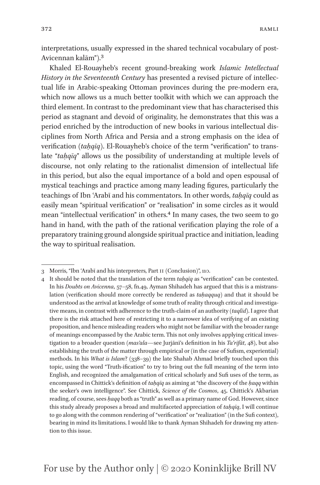interpretations, usually expressed in the shared technical vocabulary of post-Avicennan kalām").3

Khaled El-Rouayheb's recent ground-breaking work *Islamic Intellectual History in the Seventeenth Century* has presented a revised picture of intellectual life in Arabic-speaking Ottoman provinces during the pre-modern era, which now allows us a much better toolkit with which we can approach the third element. In contrast to the predominant view that has characterised this period as stagnant and devoid of originality, he demonstrates that this was a period enriched by the introduction of new books in various intellectual disciplines from North Africa and Persia and a strong emphasis on the idea of verification (*taḥqīq*). El-Rouayheb's choice of the term "verification" to translate "*taḥqīq*" allows us the possibility of understanding at multiple levels of discourse, not only relating to the rationalist dimension of intellectual life in this period, but also the equal importance of a bold and open espousal of mystical teachings and practice among many leading figures, particularly the teachings of Ibn ʿArabī and his commentators. In other words, *taḥqīq* could as easily mean "spiritual verification" or "realisation" in some circles as it would mean "intellectual verification" in others.4 In many cases, the two seem to go hand in hand, with the path of the rational verification playing the role of a preparatory training ground alongside spiritual practice and initiation, leading the way to spiritual realisation.

<sup>3</sup> Morris, "Ibn ʿArabī and his interpreters, Part II (Conclusion)", 110.

<sup>4</sup> It should be noted that the translation of the term *taḥqīq* as "verification" can be contested. In his *Doubts on Avicenna*, 57–58, fn.49, Ayman Shihadeh has argued that this is a mistranslation (verification should more correctly be rendered as *taḥaqquq*) and that it should be understood as the arrival at knowledge of some truth of reality through critical and investigative means, in contrast with adherence to the truth-claim of an authority (*taqlīd*). I agree that there is the risk attached here of restricting it to a narrower idea of verifying of an existing proposition, and hence misleading readers who might not be familiar with the broader range of meanings encompassed by the Arabic term. This not only involves applying critical investigation to a broader question (*masʾala—*see Jurjānī's definition in his *Taʿrīfāt*, 48), but also establishing the truth of the matter through empirical or (in the case of Sufism, experiential) methods. In his *What is Islam*? (338–39) the late Shahab Ahmad briefly touched upon this topic, using the word "Truth-ification" to try to bring out the full meaning of the term into English, and recognized the amalgamation of critical scholarly and Sufi uses of the term, as encompassed in Chittick's definition of *taḥqīq* as aiming at "the discovery of the *ḥaqq* within the seeker's own intelligence". See Chittick, *Science of the Cosmos*, 45. Chittick's Akbarian reading, of course, sees *ḥaqq* both as "truth" as well as a primary name of God. However, since this study already proposes a broad and multifaceted appreciation of *taḥqīq*, I will continue to go along with the common rendering of "verification" or "realization" (in the Sufi context), bearing in mind its limitations. I would like to thank Ayman Shihadeh for drawing my attention to this issue.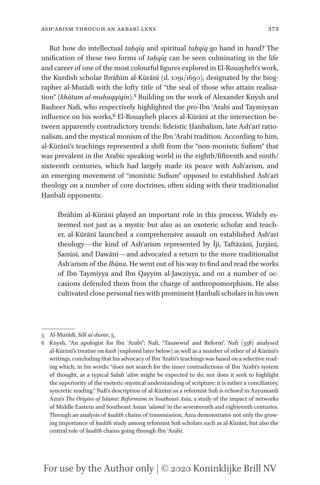But how do intellectual *taḥqīq* and spiritual *taḥqīq* go hand in hand? The unification of these two forms of *taḥqīq* can be seen culminating in the life and career of one of the most colourful figures explored in El-Rouayheb's work, the Kurdish scholar Ibrāhīm al-Kūrānī (d. 1091/1690), designated by the biographer al-Murādī with the lofty title of "the seal of those who attain realisation" (*khātam al-muḥaqqiqīn*).5 Building on the work of Alexander Knysh and Basheer Nafi, who respectively highlighted the pro-Ibn ʿArabī and Taymiyyan influence on his works,<sup>6</sup> El-Rouayheb places al-Kūrānī at the intersection between apparently contradictory trends: fideistic Ḥanbalism, late Ashʿarī rationalism, and the mystical monism of the Ibn ʿArabī tradition. According to him, al-Kūrānī's teachings represented a shift from the "non-monistic Sufism" that was prevalent in the Arabic speaking world in the eighth/fifteenth and ninth/ sixteenth centuries, which had largely made its peace with Ashʿarism, and an emerging movement of "monistic Sufism" opposed to established Ashʿarī theology on a number of core doctrines, often siding with their traditionalist Ḥanbalī opponents:

Ibrāhīm al-Kūrānī played an important role in this process. Widely esteemed not just as a mystic but also as an exoteric scholar and teacher, al-Kūrānī launched a comprehensive assault on established Ashʿarī theology—the kind of Ashʿarism represented by Ījī, Taftāzānī, Jurjānī, Sanūsī, and Dawānī—and advocated a return to the more traditionalist Ashʿarism of the *Ibāna*. He went out of his way to find and read the works of Ibn Taymiyya and Ibn Qayyim al-Jawziyya, and on a number of occasions defended them from the charge of anthropomorphism. He also cultivated close personal ties with prominent Ḥanbalī scholars in his own

<sup>5</sup> Al-Murādī, *Silk al-durar*, 5.

<sup>6</sup> Knysh, "An apologist for Ibn ʿArabī"; Nafi, "Tasawwuf and Reform". Nafi (338) analysed al-Kūrānī's treatise on *kasb* (explored later below) as well as a number of other of al-Kūrānī's writings, concluding that his advocacy of Ibn 'Arabī's teachings was based on a selective reading which, in his words: "does not search for the inner contradictions of Ibn 'Arabī's system of thought, as a typical Salafi ʿ*ālim* might be expected to do, nor does it seek to highlight the superiority of the esoteric-mystical understanding of scripture: it is rather a conciliatory, syncretic reading." Nafi's description of al-Kūrānī as a reformist Sufi is echoed in Azyumardi Azra's *The Origins of Islamic Reformism in Southeast Asia*, a study of the impact of networks of Middle Eastern and Southeast Asian *ʿulamāʾ* in the seventeenth and eighteenth centuries. Through an analysis of *ḥadīth* chains of transmission, Azra demonstrates not only the growing importance of *ḥadīth* study among reformist Sufi scholars such as al-Kūrānī, but also the central role of *ḥadīth* chains going through Ibn ʿArabī.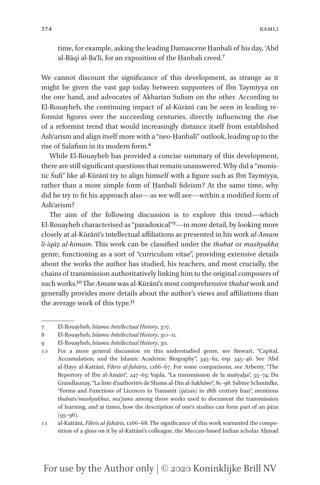time, for example, asking the leading Damascene Ḥanbalī of his day, ʿAbd al-Bāqī al-Baʿlī, for an exposition of the Ḥanbalī creed.7

We cannot discount the significance of this development, as strange as it might be given the vast gap today between supporters of Ibn Taymiyya on the one hand, and advocates of Akbarian Sufism on the other. According to El-Rouayheb, the continuing impact of al-Kūrānī can be seen in leading reformist figures over the succeeding centuries, directly influencing the rise of a reformist trend that would increasingly distance itself from established Ashʿarism and align itself more with a "neo-Ḥanbalī" outlook, leading up to the rise of Salafism in its modern form.8

While El-Rouayheb has provided a concise summary of this development, there are still significant questions that remain unanswered. Why did a "monistic Sufi" like al-Kūrānī try to align himself with a figure such as Ibn Taymiyya, rather than a more simple form of Ḥanbalī fideism? At the same time, why did he try to fit his approach also—as we will see—within a modified form of Ashʿarism?

The aim of the following discussion is to explore this trend—which El-Rouayheb characterised as "paradoxical"9—in more detail, by looking more closely at al-Kūrānī's intellectual affiliations as presented in his work *al-Amam li-īqāẓ al-himam*. This work can be classified under the *thabat* or *mashyakha*  genre, functioning as a sort of "curriculum vitae", providing extensive details about the works the author has studied, his teachers, and most crucially, the chains of transmission authoritatively linking him to the original composers of such works.10 The *Amam* was al-Kūrānī's most comprehensive *thabat* work and generally provides more details about the author's views and affiliations than the average work of this type.11

8 El-Rouayheb, *Islamic Intellectual History*, 310–11.

<sup>7</sup> El-Rouayheb, *Islamic Intellectual History*, 307.

<sup>9</sup> El-Rouayheb, *Islamic Intellectual History*, 311.

<sup>10</sup> For a more general discussion on this understudied genre, see Stewart, "Capital, Accumulation, and the Islamic Academic Biography", 345–62, esp. 345–46. See ʿAbd al-Ḥayy al-Kattānī, *Fihris al-fahāris*, 1:166–67. For some comparisons, see Arberry, "The Repertory of Ibn al-Anṣārī", 247–63; Vajda, "La transmission de la mašyaḫa", 55–74; Du Grandlaunay, "La liste d'authorités de Shams al-Dīn al-Sakhāwī", 81–98. Sabine Schmitdke, "Forms and Functions of Licences to Transmit (*ijāza*s) in 18th century Iran", mentions *thabats/mashyakhas*, *muʿjams* among those works used to document the transmission of learning, and at times, how the description of one's studies can form part of an *ijāza*  $(95-96)$ .

<sup>11</sup> al-Kattānī, *Fihris al-fahāris,* 1:166–68. The significance of this work warranted the composition of a gloss on it by al-Kattānī's colleague, the Meccan-based Indian scholar Aḥmad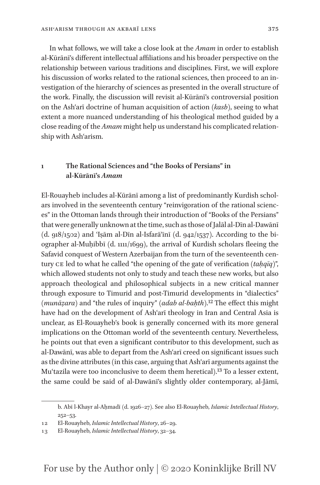In what follows, we will take a close look at the *Amam* in order to establish al-Kūrānī's different intellectual affiliations and his broader perspective on the relationship between various traditions and disciplines. First, we will explore his discussion of works related to the rational sciences, then proceed to an investigation of the hierarchy of sciences as presented in the overall structure of the work. Finally, the discussion will revisit al-Kūrānī's controversial position on the Ashʿarī doctrine of human acquisition of action (*kasb*), seeing to what extent a more nuanced understanding of his theological method guided by a close reading of the *Amam* might help us understand his complicated relationship with Ashʿarism.

### **1 The Rational Sciences and "the Books of Persians" in al-Kūrānī's** *Amam*

El-Rouayheb includes al-Kūrānī among a list of predominantly Kurdish scholars involved in the seventeenth century "reinvigoration of the rational sciences" in the Ottoman lands through their introduction of "Books of the Persians" that were generally unknown at the time, such as those of Jalāl al-Dīn al-Dawānī (d. 918/1502) and 'Iṣām al-Dīn al-Isfarā'īnī (d. 942/1537). According to the biographer al-Muḥibbī (d. 1111/1699), the arrival of Kurdish scholars fleeing the Safavid conquest of Western Azerbaijan from the turn of the seventeenth century CE led to what he called "the opening of the gate of verification (*taḥqīq*)", which allowed students not only to study and teach these new works, but also approach theological and philosophical subjects in a new critical manner through exposure to Timurid and post-Timurid developments in "dialectics" (*munāẓara*) and "the rules of inquiry" (*adab al-baḥth*).12 The effect this might have had on the development of Ashʿarī theology in Iran and Central Asia is unclear, as El-Rouayheb's book is generally concerned with its more general implications on the Ottoman world of the seventeenth century. Nevertheless, he points out that even a significant contributor to this development, such as al-Dawānī, was able to depart from the Ashʿarī creed on significant issues such as the divine attributes (in this case, arguing that Ashʿarī arguments against the Muʿtazila were too inconclusive to deem them heretical).13 To a lesser extent, the same could be said of al-Dawānī's slightly older contemporary, al-Jāmī,

b. Abī l-Khayr al-Aḥmadī (d. 1926–27). See also El-Rouayheb, *Islamic Intellectual History*, 252–53.

<sup>12</sup> El-Rouayheb, *Islamic Intellectual History*, 26–29.

<sup>13</sup> El-Rouayheb, *Islamic Intellectual History*, 32–34.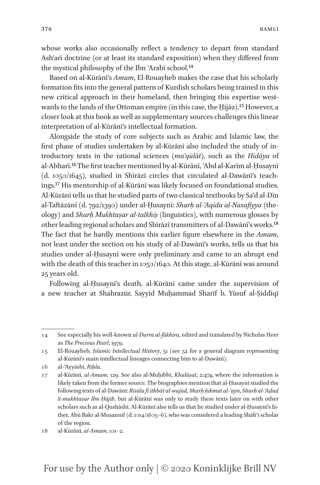whose works also occasionally reflect a tendency to depart from standard Ashʿarī doctrine (or at least its standard exposition) when they differed from the mystical philosophy of the Ibn 'Arabī school.<sup>14</sup>

Based on al-Kūrānī's *Amam*, El-Rouayheb makes the case that his scholarly formation fits into the general pattern of Kurdish scholars being trained in this new critical approach in their homeland, then bringing this expertise westwards to the lands of the Ottoman empire (in this case, the Ḥijāz).15 However, a closer look at this book as well as supplementary sources challenges this linear interpretation of al-Kūrānī's intellectual formation.

Alongside the study of core subjects such as Arabic and Islamic law, the first phase of studies undertaken by al-Kūrānī also included the study of introductory texts in the rational sciences (*maʿqūlāt*), such as the *Hidāya* of al-Abharī.16 The first teacher mentioned by al-Kūrānī, ʿAbd al-Karīmal-Ḥusaynī (d. 1050/1645), studied in Shīrāzī circles that circulated al-Dawānī's teachings.17 His mentorship of al-Kūrānī was likely focused on foundational studies. Al-Kūrānī tells us that he studied parts of two classical textbooks by Saʿd al-Dīn al-Taftāzānī (d. 792/1390) under al-Ḥusaynī: *Sharḥ al-ʿAqīda al-Nasafiyya* (theology) and *Sharḥ Mukhtaṣar al-talkhīṣ* (linguistics), with numerous glosses by other leading regional scholars and Shīrāzī transmitters of al-Dawānī's works.18 The fact that he hardly mentions this earlier figure elsewhere in the *Amam*, not least under the section on his study of al-Dawānī's works, tells us that his studies under al-Ḥusaynī were only preliminary and came to an abrupt end with the death of this teacher in 1050/1640. At this stage, al-Kūrānī was around 25 years old.

Following al-Ḥusaynī's death, al-Kūrānī came under the supervision of a new teacher at Shahrazūr, Sayyid Muḥammad Sharīf b. Yūsuf al-Ṣiddīqī

## For use by the Author only | © 2020 Koninklijke Brill NV

<sup>14</sup> See especially his well-known *al-Durra al-fākhira*, edited and translated by Nicholas Heer as *The Precious Pearl*, 1979.

<sup>15</sup> El-Rouayheb, *Islamic Intellectual History*, 51 (see 52 for a general diagram representing al-Kūrānī's main intellectual lineages connecting him to al-Dawānī).

<sup>16</sup> al-ʿAyyāshī, *Riḥla*.

<sup>17</sup> al-Kūrānī, *al-Amam*, 129. See also al-Muḥibbī, *Khulāṣat*, 2:474, where the information is likely taken from the former source. The biographies mention that al-Ḥusaynī studied the following texts of al-Dawānī: *Risāla fī ithbāt al-wujūd*, *Sharḥ ḥikmat al-ʿayn*, *Sharḥ al-ʿAḍuḍ li-mukhtaṣar Ibn Ḥājib*, but al-Kūrānī was only to study these texts later on with other scholars such as al-Qushāshī. Al-Kūrānī also tells us that he studied under al-Ḥusaynī's father, Abū Bakr al-Muṣannif (d. 1014/1605–6), who was considered a leading Shāfiʿī scholar of the region.

<sup>18</sup> al-Kūrānī, *al-Amam*, 101–2.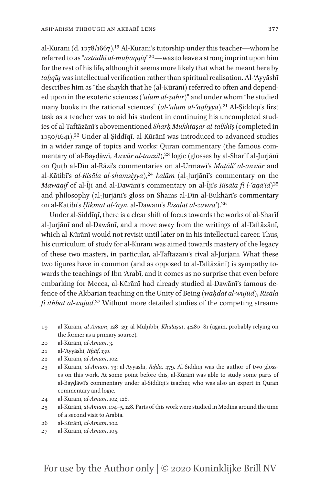al-Kūrānī (d. 1078/1667).19 Al-Kūrānī's tutorship under this teacher—whom he referred to as "*ustādhī al-muḥaqqiq*"20—was to leave a strong imprint upon him for the rest of his life, although it seems more likely that what he meant here by *taḥqīq* was intellectual verification rather than spiritual realisation. Al-ʿAyyāshī describes him as "the shaykh that he (al-Kūrānī) referred to often and depended upon in the exoteric sciences (*ʿulūm al-ẓāhir*)" and under whom "he studied many books in the rational sciences" (*al-ʿulūm al-ʿaqliyya*).21 Al-Ṣiddīqī's first task as a teacher was to aid his student in continuing his uncompleted studies of al-Taftāzānī's abovementioned *Sharḥ Mukhtaṣar al-talkhīṣ* (completed in 1050/1641).22 Under al-Ṣiddīqī, al-Kūrānī was introduced to advanced studies in a wider range of topics and works: Quran commentary (the famous commentary of al-Bayḍāwī, *Anwār al-tanzīl*),23 logic (glosses by al-Sharīf al-Jurjānī on Quṭb al-Dīn al-Rāzī's commentaries on al-Urmawī's *Maṭāliʿ al-anwār* and al-Kātibī's *al-Risāla al-shamsiyya*),24 *kalām* (al-Jurjānī's commentary on the *Mawāqif* of al-Ījī and al-Dawānī's commentary on al-Ījī's *Risāla fī l-ʿaqāʾid*)25 and philosophy (al-Jurjānī's gloss on Shams al-Dīn al-Bukhārī's commentary on al-Kātibī's *Ḥikmat al-ʿayn*, al-Dawānī's *Risālat al-zawrāʾ*).26

Under al-Ṣiddīqī, there is a clear shift of focus towards the works of al-Sharīf al-Jurjānī and al-Dawānī, and a move away from the writings of al-Taftāzānī, which al-Kūrānī would not revisit until later on in his intellectual career. Thus, his curriculum of study for al-Kūrānī was aimed towards mastery of the legacy of these two masters, in particular, al-Taftāzānī's rival al-Jurjānī. What these two figures have in common (and as opposed to al-Taftāzānī) is sympathy towards the teachings of Ibn ʿArabī, and it comes as no surprise that even before embarking for Mecca, al-Kūrānī had already studied al-Dawānī's famous defence of the Akbarian teaching on the Unity of Being (*waḥdat al-wujūd*), *Risāla fī ithbāt al-wujūd*.27 Without more detailed studies of the competing streams

27 al-Kūrānī, *al-Amam*, 105.

<sup>19</sup> al-Kūrānī, *al-Amam*, 128–29; al-Muḥibbī, *Khulāṣat*, 4:280–81 (again, probably relying on the former as a primary source).

<sup>20</sup> al-Kūrānī, *al-Amam*, 3.

<sup>21</sup> al-ʿAyyāshī, *Itḥāf*, 130.

<sup>22</sup> al-Kūrānī, *al-Amam*, 102.

<sup>23</sup> al-Kūrānī, *al-Amam*, 73; al-Ayyāshī, *Riḥla*, 479. Al-Siddīqī was the author of two glosses on this work. At some point before this, al-Kūrānī was able to study some parts of al-Bayḍāwī's commentary under al-Siddīqī's teacher, who was also an expert in Quran commentary and logic.

<sup>24</sup> al-Kūrānī, *al-Amam*, 102, 128.

<sup>25</sup> al-Kūrānī, *al-Amam*, 104–5, 128. Parts of this work were studied in Medina around the time of a second visit to Arabia.

<sup>26</sup> al-Kūrānī, *al-Amam*, 102.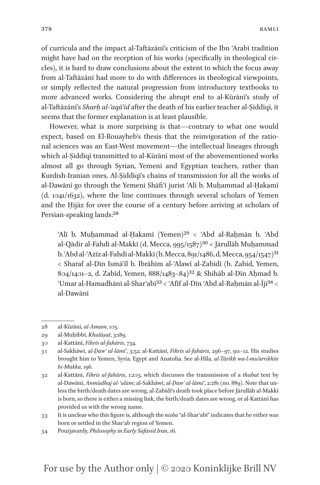of curricula and the impact al-Taftāzānī's criticism of the Ibn ʿArabī tradition might have had on the reception of his works (specifically in theological circles), it is hard to draw conclusions about the extent to which the focus away from al-Taftāzānī had more to do with differences in theological viewpoints, or simply reflected the natural progression from introductory textbooks to more advanced works. Considering the abrupt end to al-Kūrānī's study of al-Taftāzānī's *Sharḥ al-ʿaqāʾid* after the death of his earlier teacher al-Ṣiddīqī, it seems that the former explanation is at least plausible.

However, what is more surprising is that—contrary to what one would expect, based on El-Rouayheb's thesis that the reinvigoration of the rational sciences was an East-West movement—the intellectual lineages through which al-Siddīqī transmitted to al-Kūrānī most of the abovementioned works almost all go through Syrian, Yemeni and Egyptian teachers, rather than Kurdish-Iranian ones. Al-Ṣiddīqī's chains of transmission for all the works of al-Dawānī go through the Yemeni Shāfi'ī jurist 'Alī b. Muḥammad al-Ḥakamī (d. 1041/1632), where the line continues through several scholars of Yemen and the Ḥijāz for over the course of a century before arriving at scholars of Persian-speaking lands:28

ʿAlī b. Muḥammad al-Ḥakamī (Yemen)29 < ʿAbd al-Raḥmān b. ʿAbd al-Qādir al-Fahdī al-Makkī (d. Mecca, 995/1587)30 < Jārullāh Muḥammad b. ʿAbd al-ʿAzīz al-Fahdī al-Makkī (b. Mecca, 891/1486, d. Mecca, 954/1547)31 < Sharaf al-Dīn Ismāʿīl b. Ibrāhīm al-ʿAlawī al-Zabīdī (b. Zabīd, Yemen, 804/1401–2, d. Zabīd, Yemen, 888/1483–84)32 & Shihāb al-Dīn Aḥmad b. 'Umar al-Hamadhānī al-Shar'abī33 < 'Afīf al-Dīn 'Abd al-Rahmān al-Ījī<sup>34</sup> < al-Dawānī

<sup>28</sup> al-Kūrānī, *al-Amam*, 105.

<sup>29</sup> al-Muḥibbī, *Khulāṣat*, 3:189.

<sup>30</sup> al-Kattānī, *Fihris al-fahāris*, 734.

<sup>31</sup> al-Sakhāwī, a*l-Ḍawʾ al-lāmiʿ*, 3:52; al-Kattānī, *Fihris al-fahāris*, 296–97, 911–12. His studies brought him to Yemen, Syria, Egypt and Anatolia. See al-Hīla, *al-Tārīkh wa-l-muʾarrikhīn bi-Makka*, 196.

<sup>32</sup> al-Kattānī, *Fihris al-fahāris*, 1:203, which discusses the transmission of a *thabat* text by al-Dawānī, *Anmūdhaj al-ʿulūm*; al-Sakhāwī, a*l-Ḍawʾ al-lāmiʿ*, 2:281 (no. 889). Note that unless the birth/death dates are wrong, al-Zabīdī's death took place before Jārullāh al-Makkī is born, so there is either a missing link, the birth/death dates are wrong, or al-Kattānī has provided us with the wrong name.

<sup>33</sup> It is unclear who this figure is, although the *nisba* "al-Sharʿabī" indicates that he either was born or settled in the Sharʿab region of Yemen.

<sup>34</sup> Pourjavardy, *Philosophy in Early Safavid Iran*, 16.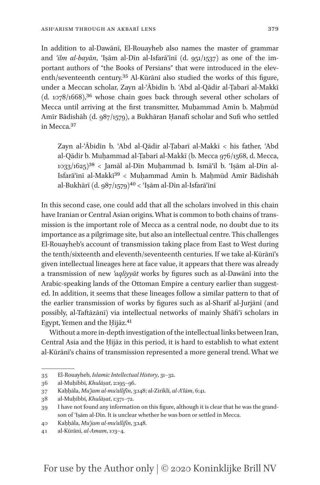In addition to al-Dawānī, El-Rouayheb also names the master of grammar and *ʿilm al-bayān*, ʿIṣām al-Dīn al-Isfarāʾīnī (d. 951/1537) as one of the important authors of "the Books of Persians" that were introduced in the eleventh/seventeenth century.<sup>35</sup> Al-Kūrānī also studied the works of this figure, under a Meccan scholar, Zayn al-ʿĀbidīn b. ʿAbd al-Qādir al-Ṭabarī al-Makkī (d. 1078/1668),36 whose chain goes back through several other scholars of Mecca until arriving at the first transmitter, Muhammad Amīn b. Mahmūd Amīr Bādishāh (d. 987/1579), a Bukhāran Ḥanafī scholar and Sufi who settled in Mecca.37

Zayn al-ʿĀbidīn b. ʿAbd al-Qādir al-Ṭabarī al-Makkī < his father, ʿAbd al-Qādir b. Muḥammad al-Ṭabarī al-Makkī (b. Mecca 976/1568, d. Mecca,  $1033/1625$ <sup>38</sup> < Jamāl al-Dīn Muḥammad b. Ismāʿīl b. 'Iṣām al-Dīn al-Isfarāʾinī al-Makkī39 < Muḥammad Amīn b. Maḥmūd Amīr Bādishāh al-Bukhārī (d. 987/1579)<sup>40</sup> < 'Isām al-Dīn al-Isfarā'īnī

In this second case, one could add that all the scholars involved in this chain have Iranian or Central Asian origins. What is common to both chains of transmission is the important role of Mecca as a central node, no doubt due to its importance as a pilgrimage site, but also an intellectual centre. This challenges El-Rouayheb's account of transmission taking place from East to West during the tenth/sixteenth and eleventh/seventeenth centuries. If we take al-Kūrānī's given intellectual lineages here at face value, it appears that there was already a transmission of new *ʿaqliyyāt* works by figures such as al-Dawānī into the Arabic-speaking lands of the Ottoman Empire a century earlier than suggested. In addition, it seems that these lineages follow a similar pattern to that of the earlier transmission of works by figures such as al-Sharīf al-Jurjānī (and possibly, al-Taftāzānī) via intellectual networks of mainly Shāfiʿī scholars in Egypt, Yemen and the Ḥijāz.<sup>41</sup>

Without a more in-depth investigation of the intellectual links between Iran, Central Asia and the Ḥijāz in this period, it is hard to establish to what extent al-Kūrānī's chains of transmission represented a more general trend. What we

<sup>35</sup> El-Rouayheb, *Islamic Intellectual History*, 31–32.

<sup>36</sup> al-Muḥibbī, *Khulāṣat*, 2:195–96.

<sup>37</sup> Kaḥḥāla, *Muʿjam al-muʾallifīn*, 3:148; al-Ziriklī, *al-Aʿlām*, 6:41.

<sup>38</sup> al-Muḥibbī, *Khulāṣat*, 1:371–72.

<sup>39</sup> I have not found any information on this figure, although it is clear that he was the grandson of ʿIṣām al-Dīn. It is unclear whether he was born or settled in Mecca.

<sup>40</sup> Kaḥḥāla, *Muʿjam al-muʾallifīn*, 3:148.

<sup>41</sup> al-Kūrānī, *al-Amam*, 103–4.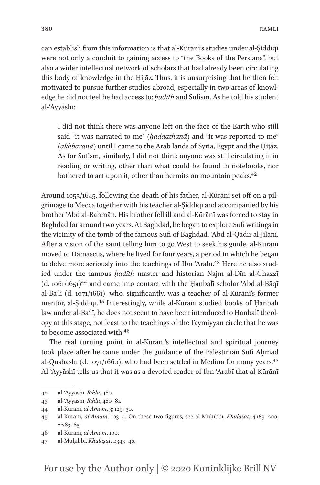can establish from this information is that al-Kūrānī's studies under al-Ṣiddīqī were not only a conduit to gaining access to "the Books of the Persians", but also a wider intellectual network of scholars that had already been circulating this body of knowledge in the Ḥijāz. Thus, it is unsurprising that he then felt motivated to pursue further studies abroad, especially in two areas of knowledge he did not feel he had access to: *ḥadīth* and Sufism. As he told his student al-ʿAyyāshī:

I did not think there was anyone left on the face of the Earth who still said "it was narrated to me" (*ḥaddathanā*) and "it was reported to me" (*akhbaranā*) until I came to the Arab lands of Syria, Egypt and the Ḥijāz. As for Sufism, similarly, I did not think anyone was still circulating it in reading or writing, other than what could be found in notebooks, nor bothered to act upon it, other than hermits on mountain peaks.<sup>42</sup>

Around 1055/1645, following the death of his father, al-Kūrānī set off on a pilgrimage to Mecca together with his teacher al-Ṣiddīqī and accompanied by his brother ʿAbd al-Raḥmān. His brother fell ill and al-Kūrānī was forced to stay in Baghdad for around two years. At Baghdad, he began to explore Sufi writings in the vicinity of the tomb of the famous Sufi of Baghdad, ʿAbd al-Qādir al-Jīlānī. After a vision of the saint telling him to go West to seek his guide, al-Kūrānī moved to Damascus, where he lived for four years, a period in which he began to delve more seriously into the teachings of Ibn ʿArabī.43 Here he also studied under the famous *ḥadīth* master and historian Najm al-Dīn al-Ghazzī  $(d. 1061/1651)^{44}$  and came into contact with the Ḥanbalī scholar 'Abd al-Bāqī al-Baʿlī (d. 1071/1661), who, significantly, was a teacher of al-Kūrānī's former mentor, al-Ṣiddīqī.45 Interestingly, while al-Kūrānī studied books of Ḥanbalī law under al-Baʿlī, he does not seem to have been introduced to Ḥanbalī theology at this stage, not least to the teachings of the Taymiyyan circle that he was to become associated with.46

The real turning point in al-Kūrānī's intellectual and spiritual journey took place after he came under the guidance of the Palestinian Sufi Aḥmad al-Qushāshī (d. 1071/1660), who had been settled in Medina for many years.<sup>47</sup> Al-ʿAyyāshī tells us that it was as a devoted reader of Ibn ʿArabī that al-Kūrānī

<sup>42</sup> al-ʿAyyāshī, *Riḥla*, 480.

<sup>43</sup> al-ʿAyyāshī, *Riḥla*, 480–81.

<sup>44</sup> al-Kūrānī, *al-Amam*, 3; 129–30.

<sup>45</sup> al-Kūrānī, *al-Amam*, 103–4. On these two figures, see al-Muḥibbī, *Khulāṣat*, 4:189–200, 2:283–85.

<sup>46</sup> al-Kūrānī, *al-Amam*, 100.

<sup>47</sup> al-Muḥibbī, *Khulāṣat*, 1:343–46.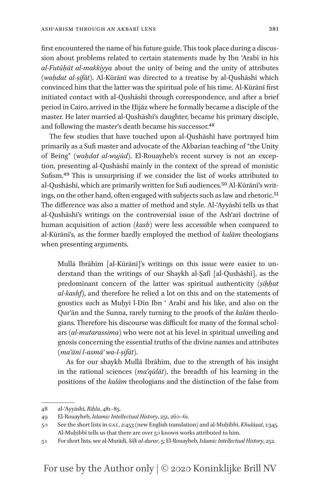first encountered the name of his future guide. This took place during a discussion about problems related to certain statements made by Ibn ʿArabī in his *al-Futūḥāt al-makkiyya* about the unity of being and the unity of attributes (*waḥdat al-ṣifāt*). Al-Kūrānī was directed to a treatise by al-Qushāshī which convinced him that the latter was the spiritual pole of his time. Al-Kūrānī first initiated contact with al-Qushāshī through correspondence, and after a brief period in Cairo, arrived in the Ḥijāz where he formally became a disciple of the master. He later married al-Qushāshī's daughter, became his primary disciple, and following the master's death became his successor.<sup>48</sup>

The few studies that have touched upon al-Qushāshī have portrayed him primarily as a Sufi master and advocate of the Akbarian teaching of "the Unity of Being" (*waḥdat al-wujūd*). El-Rouayheb's recent survey is not an exception, presenting al-Qushāshī mainly in the context of the spread of monistic Sufism.49 This is unsurprising if we consider the list of works attributed to al-Qushāshī, which are primarily written for Sufi audiences.50 Al-Kūrānī's writings, on the other hand, often engaged with subjects such as law and rhetoric.<sup>51</sup> The difference was also a matter of method and style. Al-ʿAyyāshī tells us that al-Qushāshī's writings on the controversial issue of the Ashʿarī doctrine of human acquisition of action (*kasb*) were less accessible when compared to al-Kūrānī's, as the former hardly employed the method of *kalām* theologians when presenting arguments.

Mullā Ibrāhīm [al-Kūrānī]'s writings on this issue were easier to understand than the writings of our Shaykh al-Ṣafī [al-Qushāshī], as the predominant concern of the latter was spiritual authenticity (*ṣiḥḥat al-kashf*), and therefore he relied a lot on this and on the statements of gnostics such as Muḥyī l-Dīn Ibn ʿ Arabī and his like, and also on the Qurʾān and the Sunna, rarely turning to the proofs of the *kalām* theologians. Therefore his discourse was difficult for many of the formal scholars (*al-mutarassima*) who were not at his level in spiritual unveiling and gnosis concerning the essential truths of the divine names and attributes (*maʿānī l-asmāʾ wa-l-ṣifāt*).

As for our shaykh Mullā Ibrāhīm, due to the strength of his insight in the rational sciences (*maʿqūlāt*), the breadth of his learning in the positions of the *kalām* theologians and the distinction of the false from

<sup>48</sup> al-ʿAyyāshī, *Riḥla*, 481–85.

<sup>49</sup> El-Rouayheb, *Islamic Intellectual History*, 251, 260–61.

<sup>50</sup> See the short lists in *GAL*, 2:453 (new English translation) and al-Muḥibbī, *Khulāṣat*, 1:345. Al-Muḥibbī tells us that there are over 50 known works attributed to him.

<sup>51</sup> For short lists, see al-Murādī, *Silk al-durar*, 5; El-Rouayheb, *Islamic Intellectual History*, 252.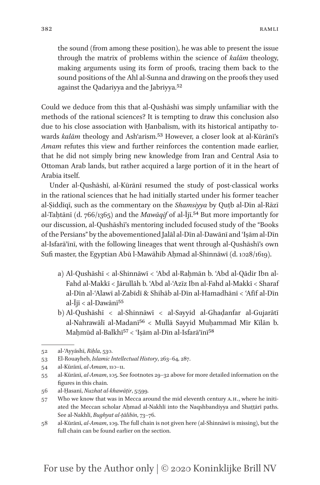the sound (from among these position), he was able to present the issue through the matrix of problems within the science of *kalām* theology, making arguments using its form of proofs, tracing them back to the sound positions of the Ahl al-Sunna and drawing on the proofs they used against the Qadariyya and the Jabriyya.52

Could we deduce from this that al-Qushāshī was simply unfamiliar with the methods of the rational sciences? It is tempting to draw this conclusion also due to his close association with Ḥanbalism, with its historical antipathy towards *kalām* theology and Ashʿarism.53 However, a closer look at al-Kūrānī's *Amam* refutes this view and further reinforces the contention made earlier, that he did not simply bring new knowledge from Iran and Central Asia to Ottoman Arab lands, but rather acquired a large portion of it in the heart of Arabia itself.

Under al-Qushāshī, al-Kūrānī resumed the study of post-classical works in the rational sciences that he had initially started under his former teacher al-Ṣiddīqī, such as the commentary on the *Shamsiyya* by Quṭb al-Dīn al-Rāzī al-Taḥtānī (d. 766/1365) and the *Mawāqif* of al-Ījī.54 But more importantly for our discussion, al-Qushāshī's mentoring included focused study of the "Books of the Persians" by the abovementioned Jalāl al-Dīn al-Dawānī and ʿIṣām al-Dīn al-Isfarāʾīnī, with the following lineages that went through al-Qushāshī's own Sufi master, the Egyptian Abū l-Mawāhib Aḥmad al-Shinnāwī (d. 1028/1619).

- a) Al-Qushāshī < al-Shinnāwī < ʿAbd al-Raḥmān b. ʿAbd al-Qādir Ibn al-Fahd al-Makkī < Jārullāh b. ʿAbd al-ʿAzīz Ibn al-Fahd al-Makkī < Sharaf al-Dīn al-ʿAlawī al-Zabīdī & Shihāb al-Dīn al-Hamadhānī < ʿAfīf al-Dīn al-Ījī < al-Dawānī<sup>55</sup>
- b) Al-Qushāshī < al-Shinnāwī < al-Sayyid al-Ghaḍanfar al-Gujarātī al-Nahrawālī al-Madanī56 < Mullā Sayyid Muḥammad Mīr Kīlān b. Mahmūd al-Balkhī<sup>57</sup> < 'Isām al-Dīn al-Isfarā'īnī<sup>58</sup>

<sup>52</sup> al-ʿAyyāshī, *Riḥla*, 530.

<sup>53</sup> El-Rouayheb, *Islamic Intellectual History*, 263–64, 287.

<sup>54</sup> al-Kūrānī, *al-Amam*, 110–11.

<sup>55</sup> al-Kūrānī, *al-Amam*, 105. See footnotes 29–32 above for more detailed information on the figures in this chain.

<sup>56</sup> al-Ḥasanī, *Nuzhat al-khawāṭir*, 5:599.

<sup>57</sup> Who we know that was in Mecca around the mid eleventh century A.H., where he initiated the Meccan scholar Aḥmad al-Nakhlī into the Naqshbandiyya and Shaṭṭārī paths. See al-Nakhlī, *Bughyat al-ṭālibīn*, 73–76.

<sup>58</sup> al-Kūrānī, *al-Amam*, 109. The full chain is not given here (al-Shinnāwī is missing), but the full chain can be found earlier on the section.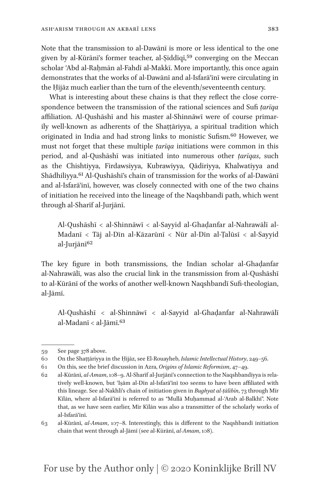Note that the transmission to al-Dawānī is more or less identical to the one given by al-Kūrānī's former teacher, al-Șiddīqī,<sup>59</sup> converging on the Meccan scholar ʿAbd al-Raḥmān al-Fahdī al-Makkī. More importantly, this once again demonstrates that the works of al-Dawānī and al-Isfarāʾīnī were circulating in the Ḥijāz much earlier than the turn of the eleventh/seventeenth century.

What is interesting about these chains is that they reflect the close correspondence between the transmission of the rational sciences and Sufi *ṭarīqa* affiliation. Al-Qushāshī and his master al-Shinnāwī were of course primarily well-known as adherents of the Shattāriyya, a spiritual tradition which originated in India and had strong links to monistic Sufism.60 However, we must not forget that these multiple *ṭarīqa* initiations were common in this period, and al-Qushāshī was initiated into numerous other *ṭarīqas*, such as the Chishtiyya, Firdawsiyya, Kubrawiyya, Qādiriyya, Khalwatiyya and Shādhiliyya.61 Al-Qushāshī's chain of transmission for the works of al-Dawānī and al-Isfarāʾinī, however, was closely connected with one of the two chains of initiation he received into the lineage of the Naqshbandī path, which went through al-Sharīf al-Jurjānī.

Al-Qushāshī < al-Shinnāwī < al-Sayyid al-Ghaḍanfar al-Nahrawālī al-Madanī < Tāj al-Dīn al-Kāzarūnī < Nūr al-Dīn al-Ṭalūsī < al-Sayyid al-Jurjānī62

The key figure in both transmissions, the Indian scholar al-Ghaḍanfar al-Nahrawālī, was also the crucial link in the transmission from al-Qushāshī to al-Kūrānī of the works of another well-known Naqshbandī Sufi-theologian, al-Jāmī.

Al-Qushāshī < al-Shinnāwī < al-Sayyid al-Ghaḍanfar al-Nahrawālī al-Madanī < al-Jāmī.63

<sup>59</sup> See page 378 above.

<sup>60</sup> On the Shaṭṭāriyya in the Ḥijāz, see El-Rouayheb, *Islamic Intellectual History*, 249–56.

<sup>61</sup> On this, see the brief discussion in Azra, *Origins of Islamic Reformism*, 47–49.

<sup>62</sup> al-Kūrānī, *al-Amam*, 108–9. Al-Sharīf al-Jurjānī's connection to the Naqshbandiyya is relatively well-known, but ʿIṣām al-Dīn al-Isfarāʾīnī too seems to have been affiliated with this lineage. See al-Nakhlī's chain of initiation given in *Bughyat al-ṭālibīn*, 73 through Mīr Kīlān, where al-Isfarā'īnī is referred to as "Mullā Muhammad al-'Arab al-Balkhī". Note that, as we have seen earlier, Mīr Kīlān was also a transmitter of the scholarly works of al-Isfarāʾīnī.

<sup>63</sup> al-Kūrānī, *al-Amam*, 107–8. Interestingly, this is different to the Naqshbandī initiation chain that went through al-Jāmī (see al-Kūrānī, *al-Amam*, 108).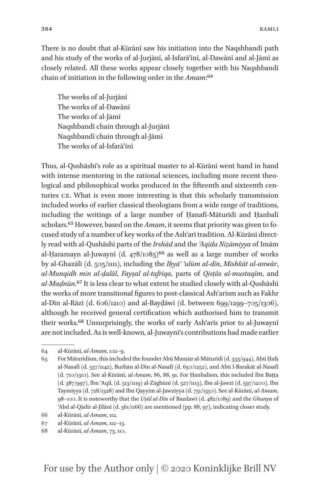There is no doubt that al-Kūrānī saw his initiation into the Naqshbandī path and his study of the works of al-Jurjānī, al-Isfarāʾīnī, al-Dawānī and al-Jāmī as closely related. All these works appear closely together with his Naqshbandī chain of initiation in the following order in the *Amam*:64

The works of al-Jurjānī The works of al-Dawānī The works of al-Jāmī Naqshbandī chain through al-Jurjānī Naqshbandī chain through al-Jāmī The works of al-Isfarāʾīnī

Thus, al-Qushāshī's role as a spiritual master to al-Kūrānī went hand in hand with intense mentoring in the rational sciences, including more recent theological and philosophical works produced in the fifteenth and sixteenth centuries CE. What is even more interesting is that this scholarly transmission included works of earlier classical theologians from a wide range of traditions, including the writings of a large number of Ḥanafī-Māturīdī and Ḥanbalī scholars.65 However, based on the *Amam*, it seems that priority was given to focused study of a number of key works of the Ashʿarī tradition. Al-Kūrānī directly read with al-Qushāshī parts of the *Irshād* and the *ʿAqīda Niẓāmiyya* of Imām al-Ḥaramayn al-Juwaynī (d. 478/1085)<sup>66</sup> as well as a large number of works by al-Ghazālī (d. 505/1111), including the *Iḥyāʾ ʿulūm al-dīn*, *Mishkāt al-anwār*, *al-Munqidh min al-ḍalāl*, *Fayṣal al-tafriqa*, parts of *Qisṭās al-mustaqīm*, and *al-Maḍnūn*.67 It is less clear to what extent he studied closely with al-Qushāshī the works of more transitional figures to post-classical Ashʿarism such as Fakhr al-Dīn al-Rāzī (d. 606/1210) and al-Bayḍāwī (d. between 699/1299–705/1306), although he received general certification which authorised him to transmit their works.68 Unsurprisingly, the works of early Ashʿarīs prior to al-Juwaynī are not included. As is well-known, al-Juwaynī's contributions had made earlier

<sup>64</sup> al-Kūrānī, *al-Amam*, 102–9.

<sup>65</sup> For Māturīdism, this included the founder Abū Manṣūr al-Māturīdī (d. 333/944), Abū Ḥafṣ al-Nasafī (d. 537/1142), Burhān al-Dīn al-Nasafī (d. 650/1252), and Abū l-Barakāt al-Nasafī (d. 710/1310). See al-Kūrānī, *al-Amam*, 86, 88, 91. For Ḥanbalism, this included Ibn Baṭṭa (d. 387/997), Ibn ʿAqīl, (d. 513/1119) al-Zāghūnī (d. 527/1113), Ibn al-Jawzī (d. 597/1200), Ibn Taymiyya (d. 728/1328) and Ibn Qayyim al-Jawziyya (d. 751/1350). See al-Kūrānī, *al-Amam*, 98–100. It is noteworthy that the *Uṣūl al-Dīn* of Bazdawī (d. 482/1089) and the *Ghunya* of ʿAbd al-Qādir al-Jīlānī (d. 561/1166) are mentioned (pp. 88, 97), indicating closer study.

<sup>66</sup> al-Kūrānī, *al-Amam*, 112.

<sup>67</sup> al-Kūrānī, *al-Amam*, 112–13.

<sup>68</sup> al-Kūrānī, *al-Amam*, 73, 110.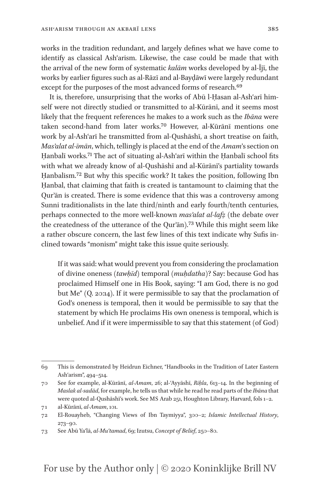works in the tradition redundant, and largely defines what we have come to identify as classical Ashʿarism. Likewise, the case could be made that with the arrival of the new form of systematic *kalām* works developed by al-Ījī, the works by earlier figures such as al-Rāzī and al-Bayḍāwī were largely redundant except for the purposes of the most advanced forms of research.<sup>69</sup>

It is, therefore, unsurprising that the works of Abū l-Ḥasan al-Ashʿarī himself were not directly studied or transmitted to al-Kūrānī, and it seems most likely that the frequent references he makes to a work such as the *Ibāna* were taken second-hand from later works.70 However, al-Kūrānī mentions one work by al-Ashʿarī he transmitted from al-Qushāshī, a short treatise on faith, *Masʾalat al-īmān*, which, tellingly is placed at the end of the *Amam*'s section on Hanbalī works.<sup>71</sup> The act of situating al-Ash<sup>ot</sup>arī within the Hanbalī school fits with what we already know of al-Qushāshī and al-Kūrānī's partiality towards Ḥanbalism.72 But why this specific work? It takes the position, following Ibn Ḥanbal, that claiming that faith is created is tantamount to claiming that the Qurʾān is created. There is some evidence that this was a controversy among Sunni traditionalists in the late third/ninth and early fourth/tenth centuries, perhaps connected to the more well-known *masʾalat al-lafẓ* (the debate over the createdness of the utterance of the Qurʾān).73 While this might seem like a rather obscure concern, the last few lines of this text indicate why Sufis inclined towards "monism" might take this issue quite seriously.

If it was said: what would prevent you from considering the proclamation of divine oneness (*tawḥīd*) temporal (*muḥdatha*)? Say: because God has proclaimed Himself one in His Book, saying: "I am God, there is no god but Me" (Q. 20:14). If it were permissible to say that the proclamation of God's oneness is temporal, then it would be permissible to say that the statement by which He proclaims His own oneness is temporal, which is unbelief. And if it were impermissible to say that this statement (of God)

<sup>69</sup> This is demonstrated by Heidrun Eichner, "Handbooks in the Tradition of Later Eastern Ashʿarism", 494–514.

<sup>70</sup> See for example, al-Kūrānī, *al-Amam*, 26; al-ʿAyyāshī, *Riḥla*, 613–14. In the beginning of *Maslak al-sadād*, for example, he tells us that while he read he read parts of the *Ibāna* that were quoted al-Qushāshī's work. See MS Arab 251, Houghton Library, Harvard, fols 1–2.

<sup>71</sup> al-Kūrānī, *al-Amam*, 101.

<sup>72</sup> El-Rouayheb, "Changing Views of Ibn Taymiyya", 300–2; *Islamic Intellectual History*, 273–90.

<sup>73</sup> See Abū Yaʿlā, *al-Muʿtamad*, 69; Izutsu, *Concept of Belief*, 250–80.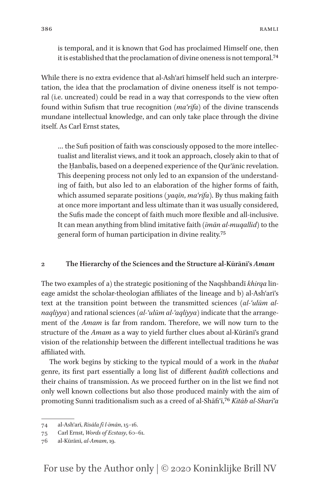is temporal, and it is known that God has proclaimed Himself one, then it is established that the proclamation of divine oneness is not temporal.74

While there is no extra evidence that al-Ashʿarī himself held such an interpretation, the idea that the proclamation of divine oneness itself is not temporal (i.e. uncreated) could be read in a way that corresponds to the view often found within Sufism that true recognition (*maʿrifa*) of the divine transcends mundane intellectual knowledge, and can only take place through the divine itself. As Carl Ernst states,

… the Sufi position of faith was consciously opposed to the more intellectualist and literalist views, and it took an approach, closely akin to that of the Ḥanbalīs, based on a deepened experience of the Qurʾānic revelation. This deepening process not only led to an expansion of the understanding of faith, but also led to an elaboration of the higher forms of faith, which assumed separate positions *(yaqīn*, *maʿrifa)*. By thus making faith at once more important and less ultimate than it was usually considered, the Sufis made the concept of faith much more flexible and all-inclusive. It can mean anything from blind imitative faith (*īmān al-muqallid*) to the general form of human participation in divine reality.75

#### **2 The Hierarchy of the Sciences and the Structure al-Kūrānī's** *Amam*

The two examples of a) the strategic positioning of the Naqshbandī *khirqa* lineage amidst the scholar-theologian affiliates of the lineage and b) al-Ashʿarī's text at the transition point between the transmitted sciences (*al-ʿulūm alnaqliyya*) and rational sciences (*al-ʿulūm al-ʿaqliyya*) indicate that the arrangement of the *Amam* is far from random. Therefore, we will now turn to the structure of the *Amam* as a way to yield further clues about al-Kūrānī's grand vision of the relationship between the different intellectual traditions he was affiliated with.

The work begins by sticking to the typical mould of a work in the *thabat* genre, its first part essentially a long list of different *ḥadīth* collections and their chains of transmission. As we proceed further on in the list we find not only well known collections but also those produced mainly with the aim of promoting Sunni traditionalism such as a creed of al-Shāfiʿī,76 *Kitāb al-Sharīʿa* 

<sup>74</sup> al-Ashʿarī, *Risāla fī l-īmān*, 15–16.

<sup>75</sup> Carl Ernst, *Words of Ecstasy*, 60-61.

<sup>76</sup> al-Kūrānī, *al-Amam*, 19.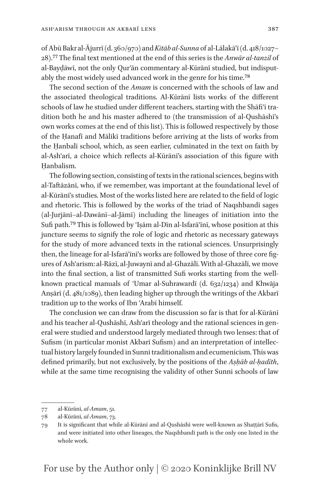of Abū Bakr al-Ājurrī (d. 360/970) and *Kitāb al-Sunna* of al-Lālakāʾī (d. 418/1027– 28).77 The final text mentioned at the end of this series is the *Anwār al-tanzīl* of al-Bayḍāwī, not the only Qurʾān commentary al-Kūrānī studied, but indisputably the most widely used advanced work in the genre for his time.78

The second section of the *Amam* is concerned with the schools of law and the associated theological traditions. Al-Kūrānī lists works of the different schools of law he studied under different teachers, starting with the Shāfi'i tradition both he and his master adhered to (the transmission of al-Qushāshī's own works comes at the end of this list). This is followed respectively by those of the Ḥanafī and Mālikī traditions before arriving at the lists of works from the Ḥanbalī school, which, as seen earlier, culminated in the text on faith by al-Ashʿarī, a choice which reflects al-Kūrānī's association of this figure with Ḥanbalism.

The following section, consisting of texts in the rational sciences, begins with al-Taftāzānī, who, if we remember, was important at the foundational level of al-Kūrānī's studies. Most of the works listed here are related to the field of logic and rhetoric. This is followed by the works of the triad of Naqshbandī sages (al-Jurjānī–al-Dawānī–al-Jāmī) including the lineages of initiation into the Sufi path.79 This is followed by ʿIṣām al-Dīn al-Isfarāʾīnī, whose position at this juncture seems to signify the role of logic and rhetoric as necessary gateways for the study of more advanced texts in the rational sciences. Unsurprisingly then, the lineage for al-Isfarāʾīnī's works are followed by those of three core figures of Ashʿarism: al-Rāzī, al-Juwaynī and al-Ghazālī. With al-Ghazālī, we move into the final section, a list of transmitted Sufi works starting from the wellknown practical manuals of ʿUmar al-Suhrawardī (d. 632/1234) and Khwāja Anṣārī (d. 481/1089), then leading higher up through the writings of the Akbarī tradition up to the works of Ibn ʿArabī himself.

The conclusion we can draw from the discussion so far is that for al-Kūrānī and his teacher al-Qushāshī, Ashʿarī theology and the rational sciences in general were studied and understood largely mediated through two lenses: that of Sufism (in particular monist Akbarī Sufism) and an interpretation of intellectual history largely founded in Sunni traditionalism and ecumenicism. This was defined primarily, but not exclusively, by the positions of the *Aṣḥāb al-ḥadīth*, while at the same time recognising the validity of other Sunni schools of law

<sup>77</sup> al-Kūrānī, *al-Amam*, 51.

<sup>78</sup> al-Kūrānī, *al-Amam*, 73.

<sup>79</sup> It is significant that while al-Kūrānī and al-Qushāshī were well-known as Shaṭṭārī Sufis, and were initiated into other lineages, the Naqshbandī path is the only one listed in the whole work.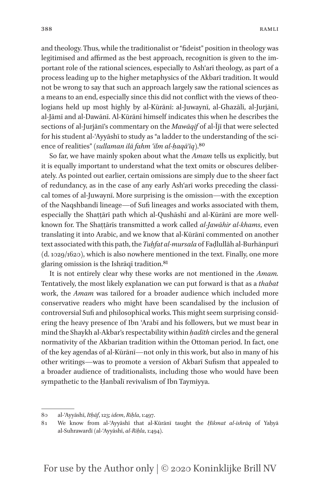and theology. Thus, while the traditionalist or "fideist" position in theology was legitimised and affirmed as the best approach, recognition is given to the important role of the rational sciences, especially to Ashʿarī theology, as part of a process leading up to the higher metaphysics of the Akbarī tradition. It would not be wrong to say that such an approach largely saw the rational sciences as a means to an end, especially since this did not conflict with the views of theologians held up most highly by al-Kūrānī: al-Juwaynī, al-Ghazālī, al-Jurjānī, al-Jāmī and al-Dawānī. Al-Kūrānī himself indicates this when he describes the sections of al-Jurjānī's commentary on the *Mawāqif* of al-Ījī that were selected for his student al-ʿAyyāshī to study as "a ladder to the understanding of the science of realities" (*sullaman ilā fahm ʿilm al-ḥaqāʾiq*).80

So far, we have mainly spoken about what the *Amam* tells us explicitly, but it is equally important to understand what the text omits or obscures deliberately. As pointed out earlier, certain omissions are simply due to the sheer fact of redundancy, as in the case of any early Ashʿarī works preceding the classical tomes of al-Juwaynī. More surprising is the omission—with the exception of the Naqshbandī lineage—of Sufi lineages and works associated with them, especially the Shaṭṭārī path which al-Qushāshī and al-Kūrānī are more wellknown for. The Shaṭṭārīs transmitted a work called *al-Jawāhir al-khams*, even translating it into Arabic, and we know that al-Kūrānī commented on another text associated with this path, the *Tuḥfat al-mursala* of Faḍlullāh al-Burhānpurī (d. 1029/1620), which is also nowhere mentioned in the text. Finally, one more glaring omission is the Ishrāqī tradition.<sup>81</sup>

It is not entirely clear why these works are not mentioned in the *Amam.* Tentatively, the most likely explanation we can put forward is that as a *thabat* work, the *Amam* was tailored for a broader audience which included more conservative readers who might have been scandalised by the inclusion of controversial Sufi and philosophical works. This might seem surprising considering the heavy presence of Ibn ʿArabī and his followers, but we must bear in mind the Shaykh al-Akbar's respectability within *ḥadīth* circles and the general normativity of the Akbarian tradition within the Ottoman period. In fact, one of the key agendas of al-Kūrānī—not only in this work, but also in many of his other writings—was to promote a version of Akbarī Sufism that appealed to a broader audience of traditionalists, including those who would have been sympathetic to the Ḥanbalī revivalism of Ibn Taymiyya.

<sup>80</sup> al-ʿAyyāshī, *Itḥāf*, 123; *idem*, *Riḥla*, 1:497.

<sup>81</sup> We know from al-ʿAyyāshī that al-Kūrānī taught the *Ḥikmat al-ishrāq* of Yaḥyā al-Suhrawardī (al-ʿAyyāshī, *al-Riḥla*, 1:494).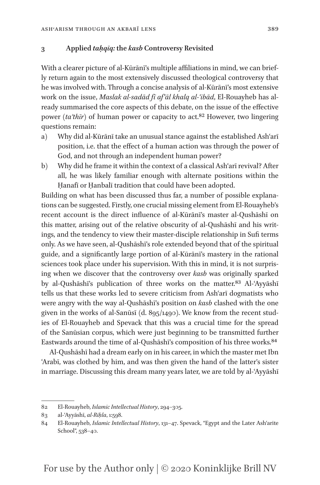#### **3 Applied** *taḥqīq:* **the** *kasb* **Controversy Revisited**

With a clearer picture of al-Kūrānī's multiple affiliations in mind, we can briefly return again to the most extensively discussed theological controversy that he was involved with. Through a concise analysis of al-Kūrānī's most extensive work on the issue, *Maslak al-sadād fī afʿāl khalq al-ʿibād*, El-Rouayheb has already summarised the core aspects of this debate, on the issue of the effective power (*ta'thir*) of human power or capacity to act.<sup>82</sup> However, two lingering questions remain:

- a) Why did al-Kūrānī take an unusual stance against the established Ashʿarī position, i.e. that the effect of a human action was through the power of God, and not through an independent human power?
- b) Why did he frame it within the context of a classical Ashʿarī revival? After all, he was likely familiar enough with alternate positions within the Ḥanafī or Ḥanbalī tradition that could have been adopted.

Building on what has been discussed thus far, a number of possible explanations can be suggested. Firstly, one crucial missing element from El-Rouayheb's recent account is the direct influence of al-Kūrānī's master al-Qushāshī on this matter, arising out of the relative obscurity of al-Qushāshī and his writings, and the tendency to view their master-disciple relationship in Sufi terms only. As we have seen, al-Qushāshī's role extended beyond that of the spiritual guide, and a significantly large portion of al-Kūrānī's mastery in the rational sciences took place under his supervision. With this in mind, it is not surprising when we discover that the controversy over *kasb* was originally sparked by al-Qushāshī's publication of three works on the matter.<sup>83</sup> Al-'Ayyāshī tells us that these works led to severe criticism from Ashʿarī dogmatists who were angry with the way al-Qushāshī's position on *kasb* clashed with the one given in the works of al-Sanūsī (d. 895/1490). We know from the recent studies of El-Rouayheb and Spevack that this was a crucial time for the spread of the Sanūsian corpus, which were just beginning to be transmitted further Eastwards around the time of al-Qushāshī's composition of his three works.84

Al-Qushāshī had a dream early on in his career, in which the master met Ibn ʿArabī, was clothed by him, and was then given the hand of the latter's sister in marriage. Discussing this dream many years later, we are told by al-ʿAyyāshī

<sup>82</sup> El-Rouayheb, *Islamic Intellectual History*, 294–305.

<sup>83</sup> al-ʿAyyāshī, *al-Riḥla*, 1:598.

<sup>84</sup> El-Rouayheb, *Islamic Intellectual History*, 131-47. Spevack, "Egypt and the Later Ash'arite School", 538–40.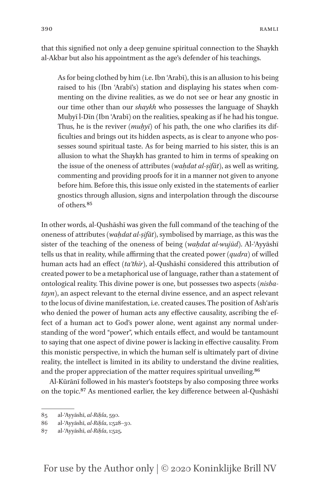that this signified not only a deep genuine spiritual connection to the Shaykh al-Akbar but also his appointment as the age's defender of his teachings.

As for being clothed by him (i.e. Ibn ʿArabī), this is an allusion to his being raised to his (Ibn 'Arabī's) station and displaying his states when commenting on the divine realities, as we do not see or hear any gnostic in our time other than our *shaykh* who possesses the language of Shaykh Muhyī l-Dīn (Ibn ʿArabī) on the realities, speaking as if he had his tongue. Thus, he is the reviver (*muhyī*) of his path, the one who clarifies its difficulties and brings out its hidden aspects, as is clear to anyone who possesses sound spiritual taste. As for being married to his sister, this is an allusion to what the Shaykh has granted to him in terms of speaking on the issue of the oneness of attributes (*waḥdat al-ṣifāt*), as well as writing, commenting and providing proofs for it in a manner not given to anyone before him. Before this, this issue only existed in the statements of earlier gnostics through allusion, signs and interpolation through the discourse of others*.*85

In other words, al-Qushāshī was given the full command of the teaching of the oneness of attributes (*waḥdat al-ṣifāt*), symbolised by marriage, as this was the sister of the teaching of the oneness of being (*waḥdat al-wujūd*). Al-ʿAyyāshī tells us that in reality, while affirming that the created power (*qudra*) of willed human acts had an effect (*taʾthīr*), al-Qushāshī considered this attribution of created power to be a metaphorical use of language, rather than a statement of ontological reality. This divine power is one, but possesses two aspects (*nisbatayn*), an aspect relevant to the eternal divine essence, and an aspect relevant to the locus of divine manifestation, i.e. created causes. The position of Ashʿarīs who denied the power of human acts any effective causality, ascribing the effect of a human act to God's power alone, went against any normal understanding of the word "power", which entails effect, and would be tantamount to saying that one aspect of divine power is lacking in effective causality. From this monistic perspective, in which the human self is ultimately part of divine reality, the intellect is limited in its ability to understand the divine realities, and the proper appreciation of the matter requires spiritual unveiling.<sup>86</sup>

Al-Kūrānī followed in his master's footsteps by also composing three works on the topic.87 As mentioned earlier, the key difference between al-Qushāshī

<sup>85</sup> al-ʿAyyāshī, *al-Riḥla*, 590.

<sup>86</sup> al-ʿAyyāshī, *al-Riḥla*, 1:528–30.

<sup>87</sup> al-ʿAyyāshī, *al-Riḥla*, 1:525.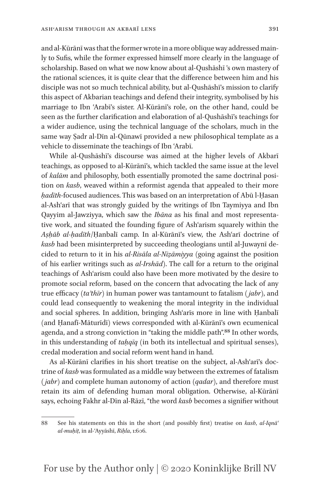and al-Kūrānī was that the former wrote in a more oblique way addressed mainly to Sufis, while the former expressed himself more clearly in the language of scholarship. Based on what we now know about al-Qushāshī 's own mastery of the rational sciences, it is quite clear that the difference between him and his disciple was not so much technical ability, but al-Qushāshī's mission to clarify this aspect of Akbarian teachings and defend their integrity, symbolised by his marriage to Ibn ʿArabī's sister. Al-Kūrānī's role, on the other hand, could be seen as the further clarification and elaboration of al-Qushāshī's teachings for a wider audience, using the technical language of the scholars, much in the same way Ṣadr al-Dīn al-Qūnawī provided a new philosophical template as a vehicle to disseminate the teachings of Ibn ʿArabī.

While al-Qushāshī's discourse was aimed at the higher levels of Akbarī teachings, as opposed to al-Kūrānī's, which tackled the same issue at the level of *kalām* and philosophy, both essentially promoted the same doctrinal position on *kasb*, weaved within a reformist agenda that appealed to their more *ḥadīth*-focused audiences. This was based on an interpretation of Abū l-Ḥasan al-Ashʿarī that was strongly guided by the writings of Ibn Taymiyya and Ibn Qayyim al-Jawziyya, which saw the *Ibāna* as his final and most representative work, and situated the founding figure of Ashʿarism squarely within the *Aṣḥāb al-ḥadīth*/Ḥanbalī camp. In al-Kūrānī's view, the Ashʿarī doctrine of *kasb* had been misinterpreted by succeeding theologians until al-Juwaynī decided to return to it in his *al-Risāla al-Niẓāmiyya* (going against the position of his earlier writings such as *al-Irshād*). The call for a return to the original teachings of Ashʿarism could also have been more motivated by the desire to promote social reform, based on the concern that advocating the lack of any true efficacy (*taʾthīr*) in human power was tantamount to fatalism *( jabr)*, and could lead consequently to weakening the moral integrity in the individual and social spheres. In addition, bringing Ashʿarīs more in line with Ḥanbalī (and Ḥanafī-Māturīdī) views corresponded with al-Kūrānī's own ecumenical agenda, and a strong conviction in "taking the middle path".<sup>88</sup> In other words, in this understanding of *taḥqīq* (in both its intellectual and spiritual senses), credal moderation and social reform went hand in hand.

As al-Kūrānī clarifies in his short treatise on the subject, al-Ashʿarī's doctrine of *kasb* was formulated as a middle way between the extremes of fatalism *( jabr)* and complete human autonomy of action (*qadar*), and therefore must retain its aim of defending human moral obligation. Otherwise, al-Kūrānī says, echoing Fakhr al-Dīn al-Rāzī, "the word *kasb* becomes a signifier without

<sup>88</sup> See his statements on this in the short (and possibly first) treatise on *kasb*, *al-Iqnāʿ al-muḥīṭ*, in al-ʿAyyāshī, *Riḥla*, 1:606.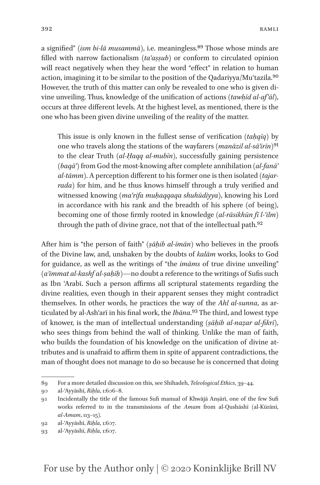a signified" (*ism bi-lā musammā*), i.e. meaningless.89 Those whose minds are filled with narrow factionalism (*taʿaṣṣub)* or conform to circulated opinion will react negatively when they hear the word "effect" in relation to human action, imagining it to be similar to the position of the Qadariyya/Mu<sup>'</sup>tazila.<sup>90</sup> However, the truth of this matter can only be revealed to one who is given divine unveiling. Thus, knowledge of the unification of actions (*tawḥīd al-afʿāl*), occurs at three different levels. At the highest level, as mentioned, there is the one who has been given divine unveiling of the reality of the matter.

This issue is only known in the fullest sense of verification (*tahqīq*) by one who travels along the stations of the wayfarers (*manāzil al-sāʾirīn*)91 to the clear Truth (*al-Ḥaqq al-mubīn*), successfully gaining persistence (*baqāʾ*) from God the most-knowing after complete annihilation *(al-fanāʾ al-tāmm*). A perception different to his former one is then isolated (*tajarrada*) for him, and he thus knows himself through a truly verified and witnessed knowing (*maʿrifa muḥaqqaqa shuhūdiyya*), knowing his Lord in accordance with his rank and the breadth of his sphere (of being), becoming one of those firmly rooted in knowledge (*al-rāsikhūn fī l-ʿilm*) through the path of divine grace, not that of the intellectual path.92

After him is "the person of faith" (*ṣāḥib al-īmān*) who believes in the proofs of the Divine law, and, unshaken by the doubts of *kalām* works, looks to God for guidance, as well as the writings of "the *imāms* of true divine unveiling" (*aʾimmat al-kashf al-ṣaḥīḥ*)—no doubt a reference to the writings of Sufis such as Ibn ʿArabī. Such a person affirms all scriptural statements regarding the divine realities, even though in their apparent senses they might contradict themselves. In other words, he practices the way of the *Ahl al-sunna*, as articulated by al-Ashʿarī in his final work, the *Ibāna*.93 The third, and lowest type of knower, is the man of intellectual understanding (*ṣāḥib al-naẓar al-fikrī*), who sees things from behind the wall of thinking. Unlike the man of faith, who builds the foundation of his knowledge on the unification of divine attributes and is unafraid to affirm them in spite of apparent contradictions, the man of thought does not manage to do so because he is concerned that doing

<sup>89</sup> For a more detailed discussion on this, see Shihadeh, *Teleological Ethics*, 39–44.

<sup>90</sup> al-ʿAyyāshī, *Riḥla*, 1:606–8.

<sup>91</sup> Incidentally the title of the famous Sufi manual of Khwājā Anṣārī, one of the few Sufi works referred to in the transmissions of the *Amam* from al-Qushāshī (al-Kūrānī, *al-Amam*, 113–15).

<sup>92</sup> al-ʿAyyāshī, *Riḥla*, 1:607.

<sup>93</sup> al-ʿAyyāshī, *Riḥla*, 1:607.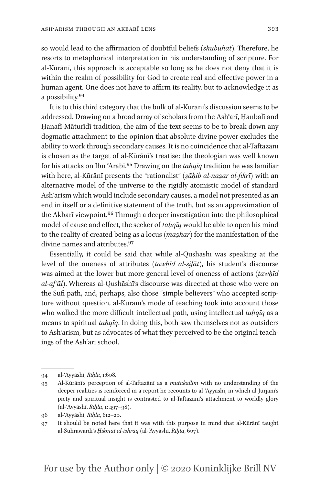so would lead to the affirmation of doubtful beliefs (*shubuhāt*). Therefore, he resorts to metaphorical interpretation in his understanding of scripture. For al-Kūrānī, this approach is acceptable so long as he does not deny that it is within the realm of possibility for God to create real and effective power in a human agent. One does not have to affirm its reality, but to acknowledge it as a possibility.94

It is to this third category that the bulk of al-Kūrānī's discussion seems to be addressed. Drawing on a broad array of scholars from the Ashʿarī, Ḥanbalī and Ḥanafī-Māturīdī tradition, the aim of the text seems to be to break down any dogmatic attachment to the opinion that absolute divine power excludes the ability to work through secondary causes. It is no coincidence that al-Taftāzānī is chosen as the target of al-Kūrānī's treatise: the theologian was well known for his attacks on Ibn ʿArabī.95 Drawing on the *taḥqīq* tradition he was familiar with here, al-Kūrānī presents the "rationalist" (*ṣāḥib al-naẓar al-fikrī*) with an alternative model of the universe to the rigidly atomistic model of standard Ashʿarism which would include secondary causes, a model not presented as an end in itself or a definitive statement of the truth, but as an approximation of the Akbarī viewpoint.96 Through a deeper investigation into the philosophical model of cause and effect, the seeker of *taḥqīq* would be able to open his mind to the reality of created being as a locus (*maẓhar*) for the manifestation of the divine names and attributes<sup>97</sup>

Essentially, it could be said that while al-Qushāshī was speaking at the level of the oneness of attributes (*tawḥīd al-ṣifāt*), his student's discourse was aimed at the lower but more general level of oneness of actions (*tawḥīd al-afʿāl*). Whereas al-Qushāshī's discourse was directed at those who were on the Sufi path, and, perhaps, also those "simple believers" who accepted scripture without question, al-Kūrānī's mode of teaching took into account those who walked the more difficult intellectual path, using intellectual *taḥqīq* as a means to spiritual *taḥqīq*. In doing this, both saw themselves not as outsiders to Ashʿarism, but as advocates of what they perceived to be the original teachings of the Ashʿarī school.

## For use by the Author only | © 2020 Koninklijke Brill NV

<sup>94</sup> al-ʿAyyāshī, *Riḥla*, 1:608.

<sup>95</sup> Al-Kūrānī's perception of al-Taftazānī as a *mutakallim* with no understanding of the deeper realities is reinforced in a report he recounts to al-ʿAyyashi, in which al-Jurjānī's piety and spiritual insight is contrasted to al-Taftāzānī's attachment to worldly glory (al-ʿAyyāshī, *Riḥla*, 1: 497–98).

<sup>96</sup> al-ʿAyyāshī, *Riḥla*, 612–20.

<sup>97</sup> It should be noted here that it was with this purpose in mind that al-Kūrānī taught al-Suhrawardī's *Ḥikmat al-ishrāq* (al-ʿAyyāshī, *Riḥla*, 607).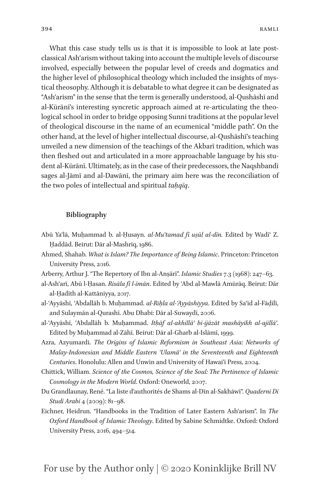What this case study tells us is that it is impossible to look at late postclassical Ashʿarism without taking into account the multiple levels of discourse involved, especially between the popular level of creeds and dogmatics and the higher level of philosophical theology which included the insights of mystical theosophy. Although it is debatable to what degree it can be designated as "Ashʿarism" in the sense that the term is generally understood, al-Qushāshī and al-Kūrānī's interesting syncretic approach aimed at re-articulating the theological school in order to bridge opposing Sunni traditions at the popular level of theological discourse in the name of an ecumenical "middle path". On the other hand, at the level of higher intellectual discourse, al-Qushāshī's teaching unveiled a new dimension of the teachings of the Akbarī tradition, which was then fleshed out and articulated in a more approachable language by his student al-Kūrānī. Ultimately, as in the case of their predecessors, the Naqshbandī sages al-Jāmī and al-Dawānī, the primary aim here was the reconciliation of the two poles of intellectual and spiritual *taḥqīq*.

#### **Bibliography**

- Abū Yaʿlā, Muḥammad b. al-Ḥusayn. *al-Muʿtamad fī uṣūl al-dīn.* Edited by Wadīʿ Z. Ḥaddād. Beirut: Dār al-Mashriq, 1986.
- Ahmed, Shahab. *What is Islam? The Importance of Being Islamic*. Princeton: Princeton University Press, 2016.
- Arberry, Arthur J. "The Repertory of Ibn al-Anṣārī". *Islamic Studies* 7.3 (1968): 247–63.
- al-Ashʿarī, Abū l-Ḥasan. *Risāla fī l-īmān*. Edited by ʿAbd al-Mawlā Amūrāq. Beirut: Dār al-Ḥadīth al-Kattāniyya, 2017.
- al-ʿAyyāshī, ʿAbdallāh b. Muḥammad. *al-Riḥla al-ʿAyyāshiyya*. Edited by Saʿīd al-Fāḍilī, and Sulaymān al-Qurashī. Abu Dhabi: Dār al-Suwaydī, 2006.
- al-ʿAyyāshī, ʿAbdallāh b. Muḥammad. *Itḥāf al-akhillāʾ bi-ijāzāt mashāyikh al-ajillāʾ*. Edited by Muḥammad al-Zāhī. Beirut: Dār al-Gharb al-Islāmī, 1999.
- Azra, Azyumardi. *The Origins of Islamic Reformism in Southeast Asia: Networks of Malay-Indonesian and Middle Eastern ʿUlamāʾ in the Seventeenth and Eighteenth Centuries*. Honolulu: Allen and Unwin and University of Hawai'i Press, 2004.
- Chittick, William. *Science of the Cosmos, Science of the Soul: The Pertinence of Islamic Cosmology in the Modern World*. Oxford: Oneworld, 2007.
- Du Grandlaunay, René. "La liste d'authorités de Shams al-Dīn al-Sakhāwī". *Quaderni Di Studi Arabi* 4 (2009): 81–98.
- Eichner, Heidrun. "Handbooks in the Tradition of Later Eastern Ashʿarism". In *The Oxford Handbook of Islamic Theology*. Edited by Sabine Schmidtke. Oxford: Oxford University Press, 2016, 494–514.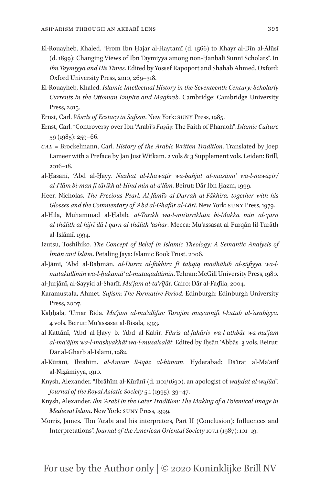- El-Rouayheb, Khaled. "From Ibn Ḥajar al-Haytamī (d. 1566) to Khayr al-Dīn al-Ālūsī (d. 1899): Changing Views of Ibn Taymiyya among non-Ḥanbalī Sunnī Scholars". In *Ibn Taymiyya and His Times*. Edited by Yossef Rapoport and Shahab Ahmed. Oxford: Oxford University Press, 2010, 269–318.
- El-Rouayheb, Khaled. *Islamic Intellectual History in the Seventeenth Century: Scholarly Currents in the Ottoman Empire and Maghreb*. Cambridge: Cambridge University Press, 2015.
- Ernst, Carl. *Words of Ecstacy in Sufism*. New York: SUNY Press, 1985.
- Ernst, Carl. "Controversy over Ibn ʿArabī's *Fuṣūṣ*: The Faith of Pharaoh". *Islamic Culture*  59 (1985): 259–66.
- *GAL* = Brockelmann, Carl. *History of the Arabic Written Tradition*. Translated by Joep Lameer with a Preface by Jan Just Witkam. 2 vols & 3 Supplement vols. Leiden: Brill, 2016–18.
- al-Ḥasanī, ʿAbd al-Ḥayy. *Nuzhat al-khawāṭir wa-bahjat al-masāmiʿ wa-l-nawāẓir/ al-Iʿlām bi-man fī tārīkh al-Hind min al-aʿlām*. Beirut: Dār Ibn Ḥazm, 1999.
- Heer, Nicholas. *The Precious Pearl: Al-Jāmī's al-Durrah al-Fākhira, together with his Glosses and the Commentary of ʿAbd al-Ghafūr al-Lārī*. New York: SUNY Press, 1979.
- al-Hīla, Muḥammad al-Ḥabīb. *al-Tārīkh wa-l-muʾarrikhūn bi-Makka min al-qarn al-thālith al-hijrī ilā l-qarn al-thālith ʿashar*. Mecca: Muʾassasat al-Furqān lil-Turāth al-Islāmī, 1994.
- Izutsu, Toshihiko. *The Concept of Belief in Islamic Theology: A Semantic Analysis of Īmān and Islām*. Petaling Jaya: Islamic Book Trust, 2006.
- al-Jāmī, ʿAbd al-Raḥmān. *al-Durra al-fākhira fī taḥqīq madhāhib al-ṣūfiyya wa-lmutakallimīnwa-l-ḥukamāʾ al-mutaqaddimīn*. Tehran: McGill University Press, 1980.
- al-Jurjānī, al-Sayyid al-Sharīf. *Muʿjam al-taʿrīfāt*. Cairo: Dār al-Faḍīla, 2004.
- Karamustafa, Ahmet. *Sufism: The Formative Period*. Edinburgh: Edinburgh University Press, 2007.
- Kaḥḥāla, ʿUmar Riḍā. *Muʿjam al-muʾallifīn: Tarājim muṣannifī l-kutub al-ʿarabiyya*. 4 vols. Beirut: Muʾassasat al-Risāla, 1993.
- al-Kattānī, ʿAbd al-Ḥayy b. ʿAbd al-Kabīr. *Fihris al-fahāris wa-l-athbāt wa-muʿjam al-maʿājim wa-l-mashyakhāt wa-l-musalsalāt*. Edited by Iḥsān ʿAbbās. 3 vols. Beirut: Dār al-Gharb al-Islāmī, 1982.
- al-Kūrānī, Ibrāhīm. *al-Amam li-īqāẓ al-himam*. Hyderabad: Dāʾirat al-Maʿārif al-Niẓāmiyya, 1910.
- Knysh, Alexander. "Ibrāhīm al-Kūrānī (d. 1101/1690), an apologist of *waḥdat al-wujūd*". *Journal of the Royal Asiatic Society* 5.1 (1995): 39–47.
- Knysh, Alexander. *Ibn ʿArabī in the Later Tradition: The Making of a Polemical Image in Medieval Islam*. New York: SUNY Press, 1999.
- Morris, James. "Ibn ʿArabī and his interpreters, Part II (Conclusion): Influences and Interpretations". *Journal of the American Oriental Society* 107.1 (1987): 101–19.

## For use by the Author only | © 2020 Koninklijke Brill NV